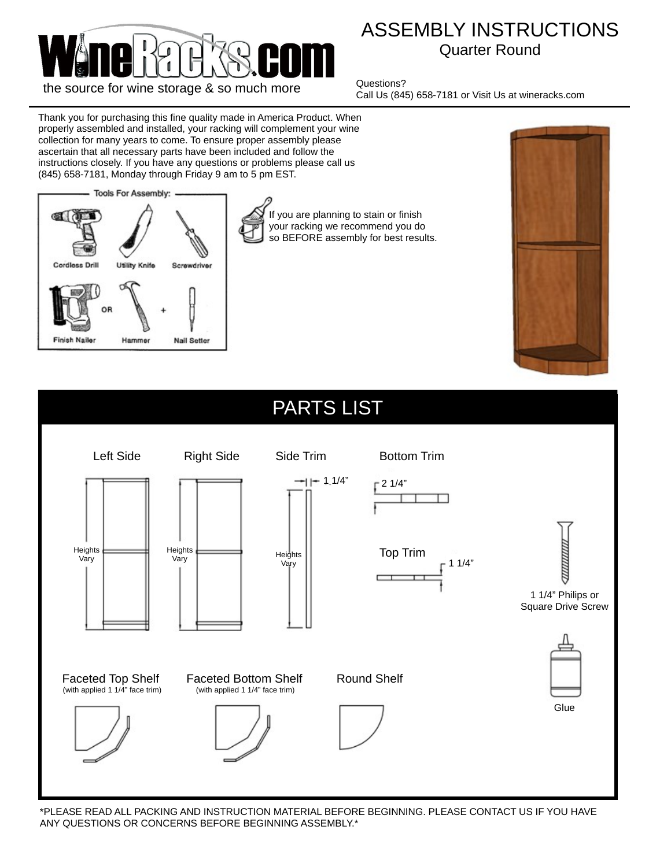

## ASSEMBLY INSTRUCTIONS Quarter Round

Questions? Call Us (845) 658-7181 or Visit Us at wineracks.com

Thank you for purchasing this fine quality made in America Product. When properly assembled and installed, your racking will complement your wine collection for many years to come. To ensure proper assembly please ascertain that all necessary parts have been included and follow the instructions closely. If you have any questions or problems please call us (845) 658-7181, Monday through Friday 9 am to 5 pm EST.



If you are planning to stain or finish your racking we recommend you do so BEFORE assembly for best results.





\*PLEASE READ ALL PACKING AND INSTRUCTION MATERIAL BEFORE BEGINNING. PLEASE CONTACT US IF YOU HAVE ANY QUESTIONS OR CONCERNS BEFORE BEGINNING ASSEMBLY.\*